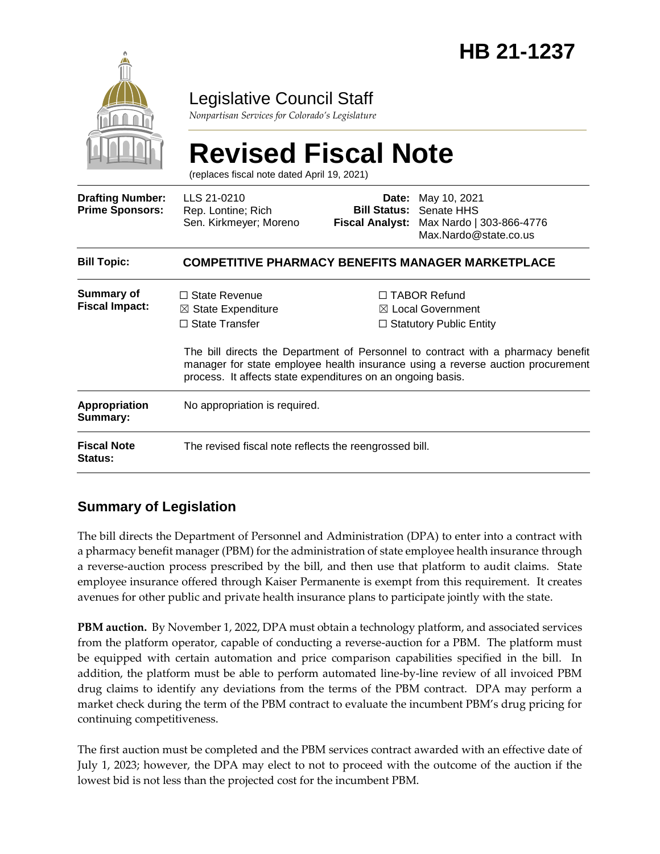

### Legislative Council Staff

*Nonpartisan Services for Colorado's Legislature*

# **Revised Fiscal Note**

(replaces fiscal note dated April 19, 2021)

| <b>Drafting Number:</b><br><b>Prime Sponsors:</b> | LLS 21-0210<br>Rep. Lontine; Rich<br>Sen. Kirkmeyer; Moreno                                                                                   |  | <b>Date:</b> May 10, 2021<br><b>Bill Status: Senate HHS</b><br>Fiscal Analyst: Max Nardo   303-866-4776<br>Max.Nardo@state.co.us                                                                                                                             |  |
|---------------------------------------------------|-----------------------------------------------------------------------------------------------------------------------------------------------|--|--------------------------------------------------------------------------------------------------------------------------------------------------------------------------------------------------------------------------------------------------------------|--|
| <b>Bill Topic:</b>                                | <b>COMPETITIVE PHARMACY BENEFITS MANAGER MARKETPLACE</b>                                                                                      |  |                                                                                                                                                                                                                                                              |  |
| Summary of<br><b>Fiscal Impact:</b>               | $\Box$ State Revenue<br>$\boxtimes$ State Expenditure<br>$\Box$ State Transfer<br>process. It affects state expenditures on an ongoing basis. |  | $\Box$ TABOR Refund<br>$\boxtimes$ Local Government<br>$\Box$ Statutory Public Entity<br>The bill directs the Department of Personnel to contract with a pharmacy benefit<br>manager for state employee health insurance using a reverse auction procurement |  |
| <b>Appropriation</b><br>Summary:                  | No appropriation is required.                                                                                                                 |  |                                                                                                                                                                                                                                                              |  |
| <b>Fiscal Note</b><br>Status:                     | The revised fiscal note reflects the reengrossed bill.                                                                                        |  |                                                                                                                                                                                                                                                              |  |

#### **Summary of Legislation**

The bill directs the Department of Personnel and Administration (DPA) to enter into a contract with a pharmacy benefit manager (PBM) for the administration of state employee health insurance through a reverse-auction process prescribed by the bill, and then use that platform to audit claims. State employee insurance offered through Kaiser Permanente is exempt from this requirement. It creates avenues for other public and private health insurance plans to participate jointly with the state.

**PBM auction.** By November 1, 2022, DPA must obtain a technology platform, and associated services from the platform operator, capable of conducting a reverse-auction for a PBM. The platform must be equipped with certain automation and price comparison capabilities specified in the bill. In addition, the platform must be able to perform automated line-by-line review of all invoiced PBM drug claims to identify any deviations from the terms of the PBM contract. DPA may perform a market check during the term of the PBM contract to evaluate the incumbent PBM's drug pricing for continuing competitiveness.

The first auction must be completed and the PBM services contract awarded with an effective date of July 1, 2023; however, the DPA may elect to not to proceed with the outcome of the auction if the lowest bid is not less than the projected cost for the incumbent PBM.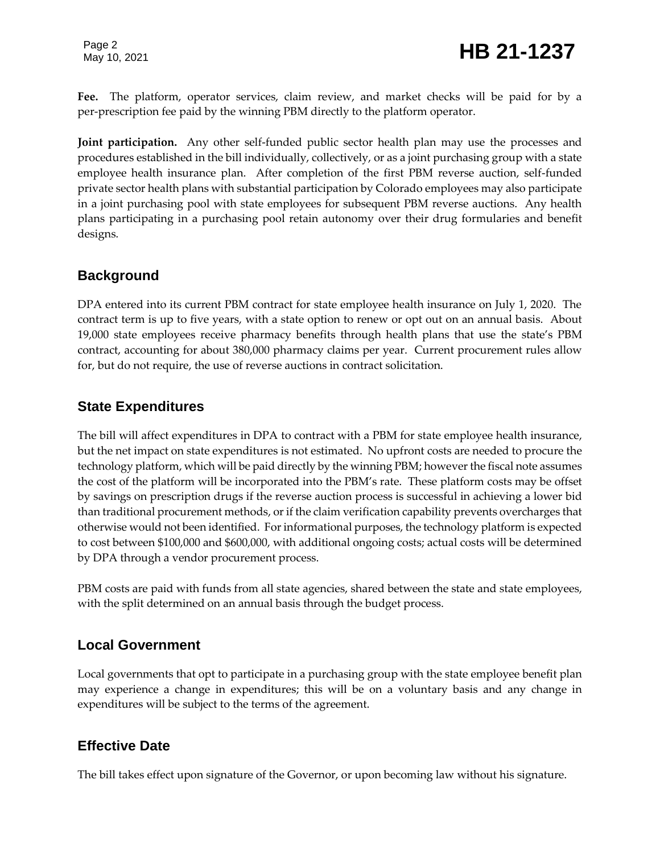Page 2

**Fee.** The platform, operator services, claim review, and market checks will be paid for by a per-prescription fee paid by the winning PBM directly to the platform operator.

**Joint participation.** Any other self-funded public sector health plan may use the processes and procedures established in the bill individually, collectively, or as a joint purchasing group with a state employee health insurance plan. After completion of the first PBM reverse auction, self-funded private sector health plans with substantial participation by Colorado employees may also participate in a joint purchasing pool with state employees for subsequent PBM reverse auctions. Any health plans participating in a purchasing pool retain autonomy over their drug formularies and benefit designs.

#### **Background**

DPA entered into its current PBM contract for state employee health insurance on July 1, 2020. The contract term is up to five years, with a state option to renew or opt out on an annual basis. About 19,000 state employees receive pharmacy benefits through health plans that use the state's PBM contract, accounting for about 380,000 pharmacy claims per year. Current procurement rules allow for, but do not require, the use of reverse auctions in contract solicitation.

#### **State Expenditures**

The bill will affect expenditures in DPA to contract with a PBM for state employee health insurance, but the net impact on state expenditures is not estimated. No upfront costs are needed to procure the technology platform, which will be paid directly by the winning PBM; however the fiscal note assumes the cost of the platform will be incorporated into the PBM's rate. These platform costs may be offset by savings on prescription drugs if the reverse auction process is successful in achieving a lower bid than traditional procurement methods, or if the claim verification capability prevents overcharges that otherwise would not been identified. For informational purposes, the technology platform is expected to cost between \$100,000 and \$600,000, with additional ongoing costs; actual costs will be determined by DPA through a vendor procurement process.

PBM costs are paid with funds from all state agencies, shared between the state and state employees, with the split determined on an annual basis through the budget process.

#### **Local Government**

Local governments that opt to participate in a purchasing group with the state employee benefit plan may experience a change in expenditures; this will be on a voluntary basis and any change in expenditures will be subject to the terms of the agreement.

#### **Effective Date**

The bill takes effect upon signature of the Governor, or upon becoming law without his signature.